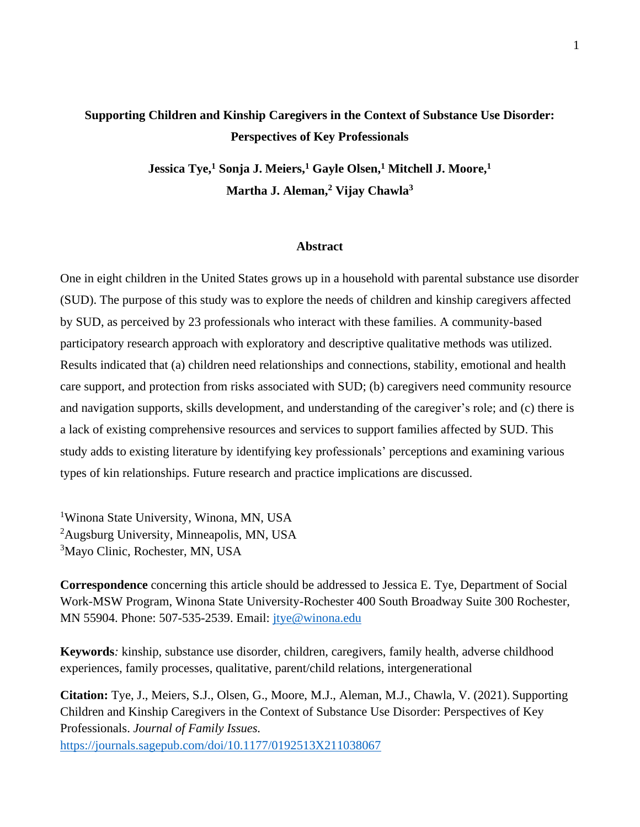## **Supporting Children and Kinship Caregivers in the Context of Substance Use Disorder: Perspectives of Key Professionals**

**Jessica Tye,<sup>1</sup> Sonja J. Meiers,<sup>1</sup> Gayle Olsen,<sup>1</sup> Mitchell J. Moore,<sup>1</sup> Martha J. Aleman,<sup>2</sup> Vijay Chawla<sup>3</sup>**

## **Abstract**

One in eight children in the United States grows up in a household with parental substance use disorder (SUD). The purpose of this study was to explore the needs of children and kinship caregivers affected by SUD, as perceived by 23 professionals who interact with these families. A community-based participatory research approach with exploratory and descriptive qualitative methods was utilized. Results indicated that (a) children need relationships and connections, stability, emotional and health care support, and protection from risks associated with SUD; (b) caregivers need community resource and navigation supports, skills development, and understanding of the caregiver's role; and (c) there is a lack of existing comprehensive resources and services to support families affected by SUD. This study adds to existing literature by identifying key professionals' perceptions and examining various types of kin relationships. Future research and practice implications are discussed.

<sup>1</sup>Winona State University, Winona, MN, USA <sup>2</sup>Augsburg University, Minneapolis, MN, USA <sup>3</sup>Mayo Clinic, Rochester, MN, USA

**Correspondence** concerning this article should be addressed to Jessica E. Tye, Department of Social Work-MSW Program, Winona State University-Rochester 400 South Broadway Suite 300 Rochester, MN 55904. Phone: 507-535-2539. Email: [jtye@winona.edu](mailto:jtye@winona.edu)

**Keywords***:* kinship, substance use disorder, children, caregivers, family health, adverse childhood experiences, family processes, qualitative, parent/child relations, intergenerational

**Citation:** Tye, J., Meiers, S.J., Olsen, G., Moore, M.J., Aleman, M.J., Chawla, V. (2021). Supporting Children and Kinship Caregivers in the Context of Substance Use Disorder: Perspectives of Key Professionals. *Journal of Family Issues.*  <https://journals.sagepub.com/doi/10.1177/0192513X211038067>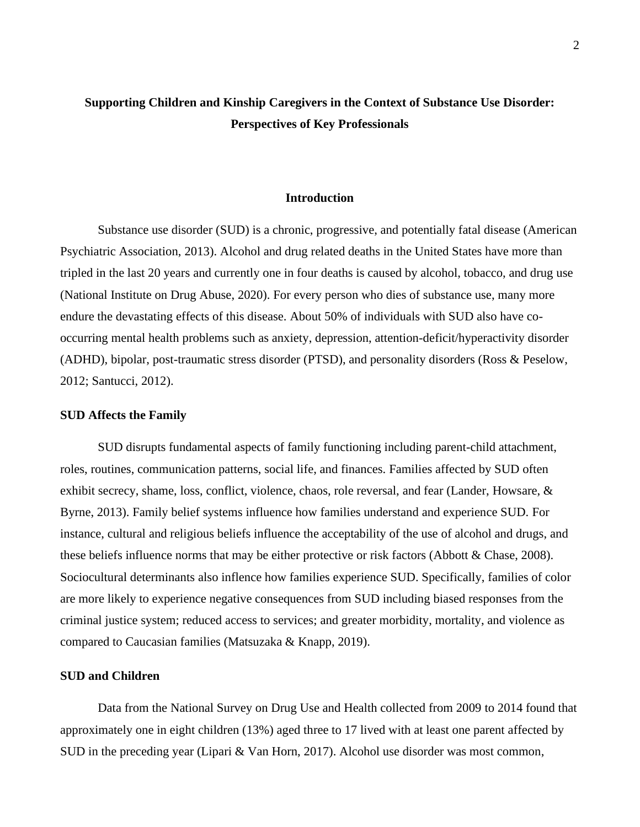## **Supporting Children and Kinship Caregivers in the Context of Substance Use Disorder: Perspectives of Key Professionals**

### **Introduction**

Substance use disorder (SUD) is a chronic, progressive, and potentially fatal disease (American Psychiatric Association, 2013). Alcohol and drug related deaths in the United States have more than tripled in the last 20 years and currently one in four deaths is caused by alcohol, tobacco, and drug use (National Institute on Drug Abuse, 2020). For every person who dies of substance use, many more endure the devastating effects of this disease. About 50% of individuals with SUD also have cooccurring mental health problems such as anxiety, depression, attention-deficit/hyperactivity disorder (ADHD), bipolar, post-traumatic stress disorder (PTSD), and personality disorders (Ross & Peselow, 2012; Santucci, 2012).

#### **SUD Affects the Family**

SUD disrupts fundamental aspects of family functioning including parent-child attachment, roles, routines, communication patterns, social life, and finances. Families affected by SUD often exhibit secrecy, shame, loss, conflict, violence, chaos, role reversal, and fear (Lander, Howsare, & Byrne, 2013). Family belief systems influence how families understand and experience SUD. For instance, cultural and religious beliefs influence the acceptability of the use of alcohol and drugs, and these beliefs influence norms that may be either protective or risk factors (Abbott & Chase, 2008). Sociocultural determinants also inflence how families experience SUD. Specifically, families of color are more likely to experience negative consequences from SUD including biased responses from the criminal justice system; reduced access to services; and greater morbidity, mortality, and violence as compared to Caucasian families (Matsuzaka & Knapp, 2019).

## **SUD and Children**

Data from the National Survey on Drug Use and Health collected from 2009 to 2014 found that approximately one in eight children (13%) aged three to 17 lived with at least one parent affected by SUD in the preceding year (Lipari & Van Horn, 2017). Alcohol use disorder was most common,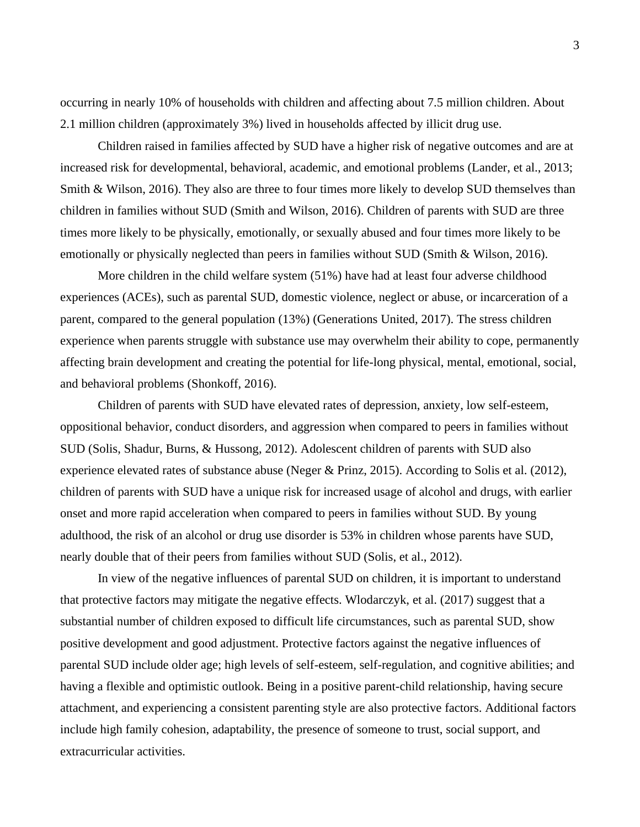occurring in nearly 10% of households with children and affecting about 7.5 million children. About 2.1 million children (approximately 3%) lived in households affected by illicit drug use.

Children raised in families affected by SUD have a higher risk of negative outcomes and are at increased risk for developmental, behavioral, academic, and emotional problems (Lander, et al., 2013; Smith & Wilson, 2016). They also are three to four times more likely to develop SUD themselves than children in families without SUD (Smith and Wilson, 2016). Children of parents with SUD are three times more likely to be physically, emotionally, or sexually abused and four times more likely to be emotionally or physically neglected than peers in families without SUD (Smith & Wilson, 2016).

More children in the child welfare system (51%) have had at least four adverse childhood experiences (ACEs), such as parental SUD, domestic violence, neglect or abuse, or incarceration of a parent, compared to the general population (13%) (Generations United, 2017). The stress children experience when parents struggle with substance use may overwhelm their ability to cope, permanently affecting brain development and creating the potential for life-long physical, mental, emotional, social, and behavioral problems (Shonkoff, 2016).

Children of parents with SUD have elevated rates of depression, anxiety, low self-esteem, oppositional behavior, conduct disorders, and aggression when compared to peers in families without SUD (Solis, Shadur, Burns, & Hussong, 2012). Adolescent children of parents with SUD also experience elevated rates of substance abuse (Neger & Prinz, 2015). According to Solis et al. (2012), children of parents with SUD have a unique risk for increased usage of alcohol and drugs, with earlier onset and more rapid acceleration when compared to peers in families without SUD. By young adulthood, the risk of an alcohol or drug use disorder is 53% in children whose parents have SUD, nearly double that of their peers from families without SUD (Solis, et al., 2012).

In view of the negative influences of parental SUD on children, it is important to understand that protective factors may mitigate the negative effects. Wlodarczyk, et al. (2017) suggest that a substantial number of children exposed to difficult life circumstances, such as parental SUD, show positive development and good adjustment. Protective factors against the negative influences of parental SUD include older age; high levels of self-esteem, self-regulation, and cognitive abilities; and having a flexible and optimistic outlook. Being in a positive parent-child relationship, having secure attachment, and experiencing a consistent parenting style are also protective factors. Additional factors include high family cohesion, adaptability, the presence of someone to trust, social support, and extracurricular activities.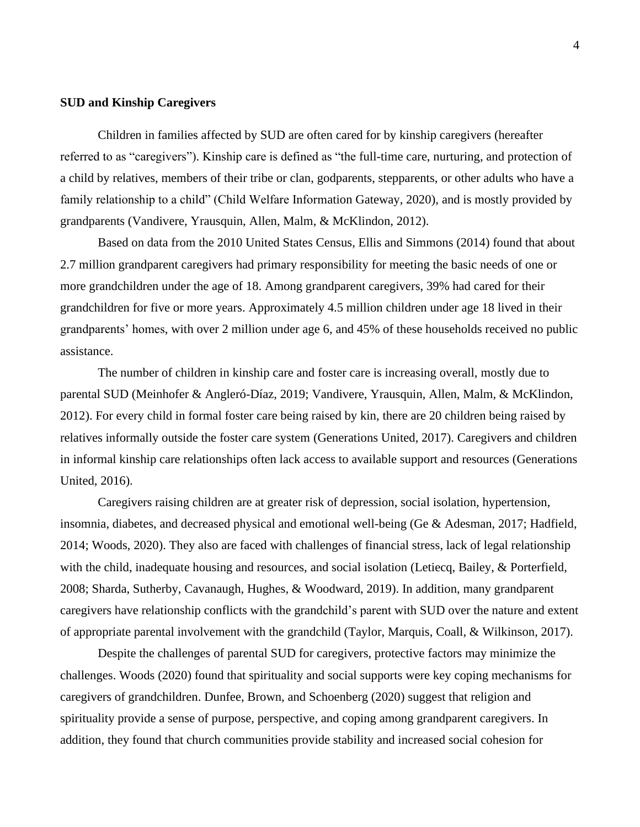## **SUD and Kinship Caregivers**

Children in families affected by SUD are often cared for by kinship caregivers (hereafter referred to as "caregivers"). Kinship care is defined as "the full-time care, nurturing, and protection of a child by relatives, members of their tribe or clan, godparents, stepparents, or other adults who have a family relationship to a child" (Child Welfare Information Gateway, 2020), and is mostly provided by grandparents (Vandivere, Yrausquin, Allen, Malm, & McKlindon, 2012).

Based on data from the 2010 United States Census, Ellis and Simmons (2014) found that about 2.7 million grandparent caregivers had primary responsibility for meeting the basic needs of one or more grandchildren under the age of 18. Among grandparent caregivers, 39% had cared for their grandchildren for five or more years. Approximately 4.5 million children under age 18 lived in their grandparents' homes, with over 2 million under age 6, and 45% of these households received no public assistance.

The number of children in kinship care and foster care is increasing overall, mostly due to parental SUD (Meinhofer & Angleró-Díaz, 2019; Vandivere, Yrausquin, Allen, Malm, & McKlindon, 2012). For every child in formal foster care being raised by kin, there are 20 children being raised by relatives informally outside the foster care system (Generations United, 2017). Caregivers and children in informal kinship care relationships often lack access to available support and resources (Generations United, 2016).

Caregivers raising children are at greater risk of depression, social isolation, hypertension, insomnia, diabetes, and decreased physical and emotional well-being (Ge & Adesman, 2017; Hadfield, 2014; Woods, 2020). They also are faced with challenges of financial stress, lack of legal relationship with the child, inadequate housing and resources, and social isolation (Letiecq, Bailey, & Porterfield, 2008; Sharda, Sutherby, Cavanaugh, Hughes, & Woodward, 2019). In addition, many grandparent caregivers have relationship conflicts with the grandchild's parent with SUD over the nature and extent of appropriate parental involvement with the grandchild (Taylor, Marquis, Coall, & Wilkinson, 2017).

Despite the challenges of parental SUD for caregivers, protective factors may minimize the challenges. Woods (2020) found that spirituality and social supports were key coping mechanisms for caregivers of grandchildren. Dunfee, Brown, and Schoenberg (2020) suggest that religion and spirituality provide a sense of purpose, perspective, and coping among grandparent caregivers. In addition, they found that church communities provide stability and increased social cohesion for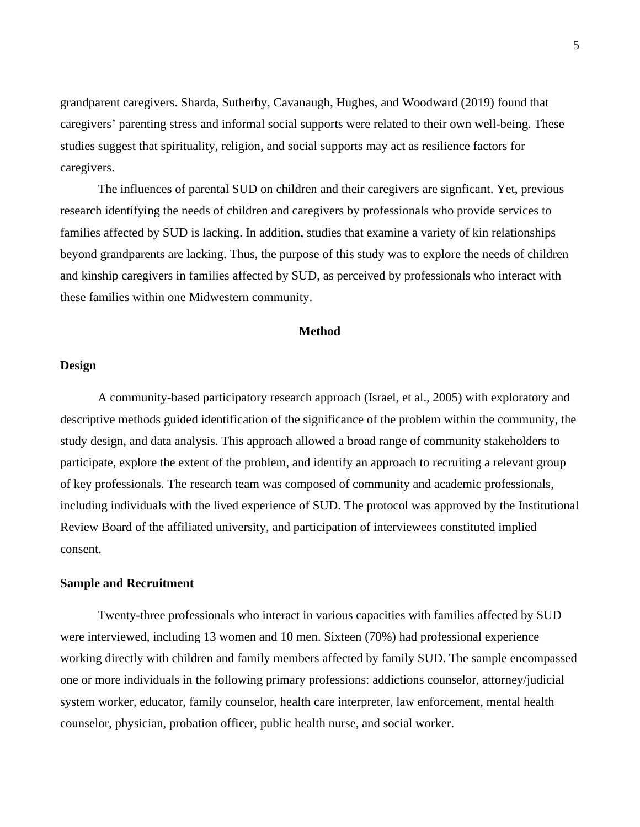grandparent caregivers. Sharda, Sutherby, Cavanaugh, Hughes, and Woodward (2019) found that caregivers' parenting stress and informal social supports were related to their own well-being. These studies suggest that spirituality, religion, and social supports may act as resilience factors for caregivers.

The influences of parental SUD on children and their caregivers are signficant. Yet, previous research identifying the needs of children and caregivers by professionals who provide services to families affected by SUD is lacking. In addition, studies that examine a variety of kin relationships beyond grandparents are lacking. Thus, the purpose of this study was to explore the needs of children and kinship caregivers in families affected by SUD, as perceived by professionals who interact with these families within one Midwestern community.

### **Method**

### **Design**

A community-based participatory research approach (Israel, et al., 2005) with exploratory and descriptive methods guided identification of the significance of the problem within the community, the study design, and data analysis. This approach allowed a broad range of community stakeholders to participate, explore the extent of the problem, and identify an approach to recruiting a relevant group of key professionals. The research team was composed of community and academic professionals, including individuals with the lived experience of SUD. The protocol was approved by the Institutional Review Board of the affiliated university, and participation of interviewees constituted implied consent.

## **Sample and Recruitment**

Twenty-three professionals who interact in various capacities with families affected by SUD were interviewed, including 13 women and 10 men. Sixteen (70%) had professional experience working directly with children and family members affected by family SUD. The sample encompassed one or more individuals in the following primary professions: addictions counselor, attorney/judicial system worker, educator, family counselor, health care interpreter, law enforcement, mental health counselor, physician, probation officer, public health nurse, and social worker.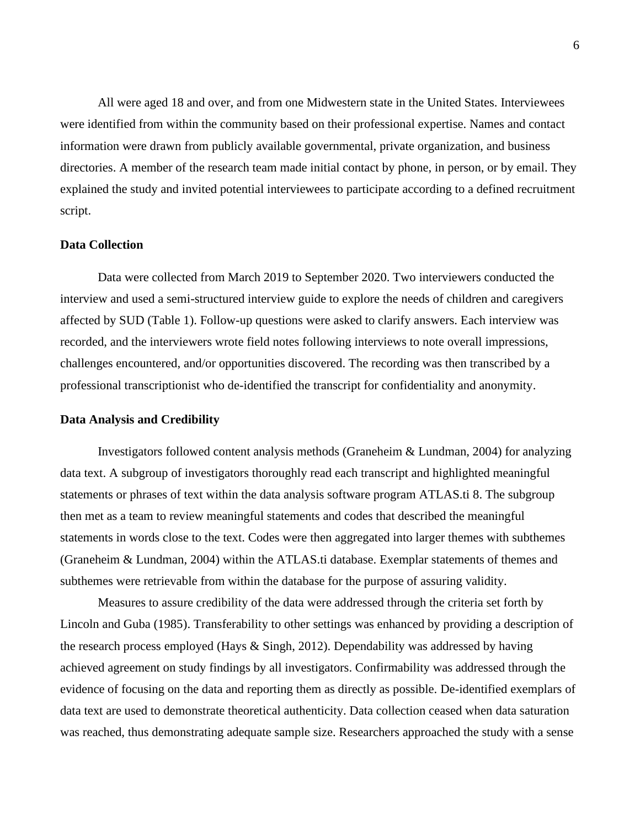All were aged 18 and over, and from one Midwestern state in the United States. Interviewees were identified from within the community based on their professional expertise. Names and contact information were drawn from publicly available governmental, private organization, and business directories. A member of the research team made initial contact by phone, in person, or by email. They explained the study and invited potential interviewees to participate according to a defined recruitment script.

## **Data Collection**

Data were collected from March 2019 to September 2020. Two interviewers conducted the interview and used a semi-structured interview guide to explore the needs of children and caregivers affected by SUD (Table 1). Follow-up questions were asked to clarify answers. Each interview was recorded, and the interviewers wrote field notes following interviews to note overall impressions, challenges encountered, and/or opportunities discovered. The recording was then transcribed by a professional transcriptionist who de-identified the transcript for confidentiality and anonymity.

#### **Data Analysis and Credibility**

Investigators followed content analysis methods (Graneheim & Lundman, 2004) for analyzing data text. A subgroup of investigators thoroughly read each transcript and highlighted meaningful statements or phrases of text within the data analysis software program ATLAS.ti 8. The subgroup then met as a team to review meaningful statements and codes that described the meaningful statements in words close to the text. Codes were then aggregated into larger themes with subthemes (Graneheim & Lundman, 2004) within the ATLAS.ti database. Exemplar statements of themes and subthemes were retrievable from within the database for the purpose of assuring validity.

Measures to assure credibility of the data were addressed through the criteria set forth by Lincoln and Guba (1985). Transferability to other settings was enhanced by providing a description of the research process employed (Hays & Singh, 2012). Dependability was addressed by having achieved agreement on study findings by all investigators. Confirmability was addressed through the evidence of focusing on the data and reporting them as directly as possible. De-identified exemplars of data text are used to demonstrate theoretical authenticity. Data collection ceased when data saturation was reached, thus demonstrating adequate sample size. Researchers approached the study with a sense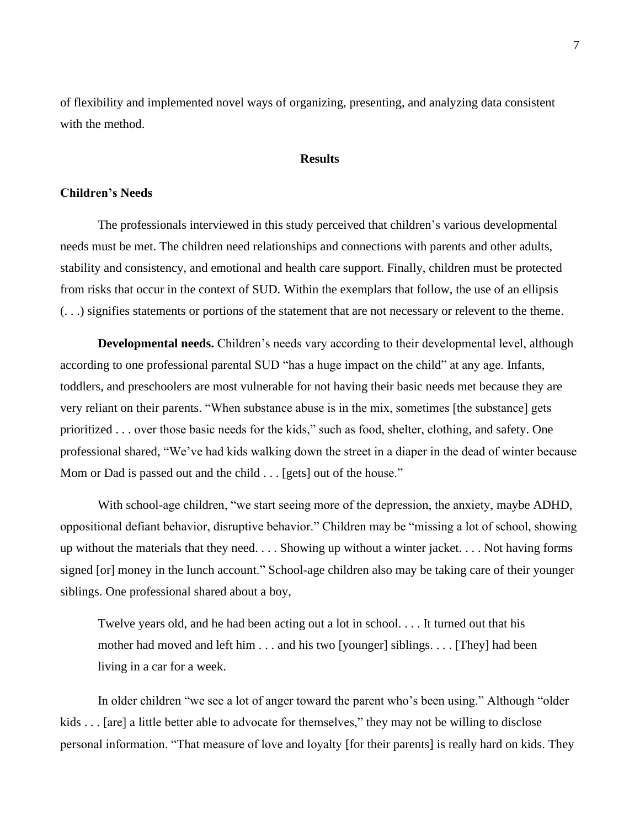of flexibility and implemented novel ways of organizing, presenting, and analyzing data consistent with the method.

### **Results**

### **Children's Needs**

The professionals interviewed in this study perceived that children's various developmental needs must be met. The children need relationships and connections with parents and other adults, stability and consistency, and emotional and health care support. Finally, children must be protected from risks that occur in the context of SUD. Within the exemplars that follow, the use of an ellipsis (. . .) signifies statements or portions of the statement that are not necessary or relevent to the theme.

**Developmental needs.** Children's needs vary according to their developmental level, although according to one professional parental SUD "has a huge impact on the child" at any age. Infants, toddlers, and preschoolers are most vulnerable for not having their basic needs met because they are very reliant on their parents. "When substance abuse is in the mix, sometimes [the substance] gets prioritized . . . over those basic needs for the kids," such as food, shelter, clothing, and safety. One professional shared, "We've had kids walking down the street in a diaper in the dead of winter because Mom or Dad is passed out and the child . . . [gets] out of the house."

With school-age children, "we start seeing more of the depression, the anxiety, maybe ADHD, oppositional defiant behavior, disruptive behavior." Children may be "missing a lot of school, showing up without the materials that they need. . . . Showing up without a winter jacket. . . . Not having forms signed [or] money in the lunch account." School-age children also may be taking care of their younger siblings. One professional shared about a boy,

Twelve years old, and he had been acting out a lot in school. . . . It turned out that his mother had moved and left him . . . and his two [younger] siblings. . . . [They] had been living in a car for a week.

In older children "we see a lot of anger toward the parent who's been using." Although "older kids . . . [are] a little better able to advocate for themselves," they may not be willing to disclose personal information. "That measure of love and loyalty [for their parents] is really hard on kids. They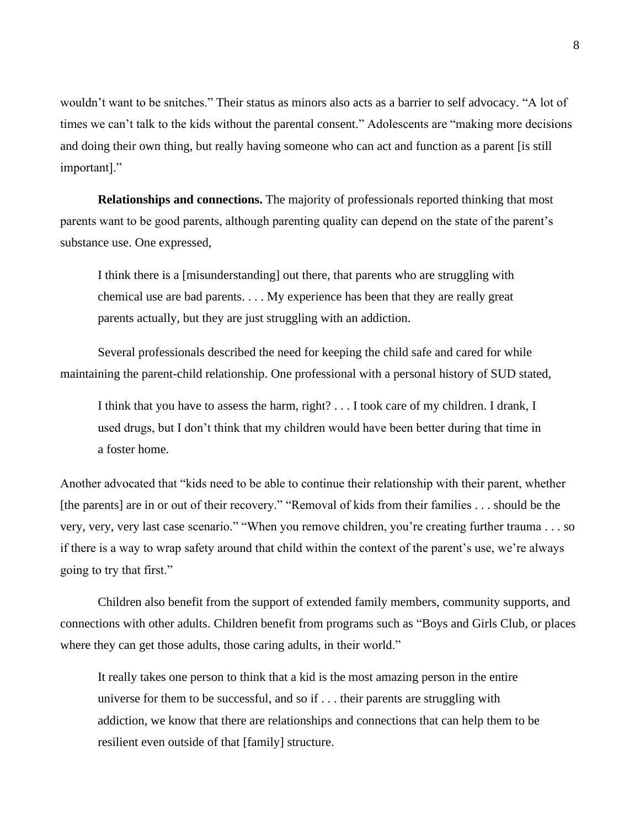wouldn't want to be snitches." Their status as minors also acts as a barrier to self advocacy. "A lot of times we can't talk to the kids without the parental consent." Adolescents are "making more decisions and doing their own thing, but really having someone who can act and function as a parent [is still important]."

**Relationships and connections.** The majority of professionals reported thinking that most parents want to be good parents, although parenting quality can depend on the state of the parent's substance use. One expressed,

I think there is a [misunderstanding] out there, that parents who are struggling with chemical use are bad parents. . . . My experience has been that they are really great parents actually, but they are just struggling with an addiction.

Several professionals described the need for keeping the child safe and cared for while maintaining the parent-child relationship. One professional with a personal history of SUD stated,

I think that you have to assess the harm, right? . . . I took care of my children. I drank, I used drugs, but I don't think that my children would have been better during that time in a foster home.

Another advocated that "kids need to be able to continue their relationship with their parent, whether [the parents] are in or out of their recovery." "Removal of kids from their families . . . should be the very, very, very last case scenario." "When you remove children, you're creating further trauma . . . so if there is a way to wrap safety around that child within the context of the parent's use, we're always going to try that first."

Children also benefit from the support of extended family members, community supports, and connections with other adults. Children benefit from programs such as "Boys and Girls Club, or places where they can get those adults, those caring adults, in their world."

It really takes one person to think that a kid is the most amazing person in the entire universe for them to be successful, and so if . . . their parents are struggling with addiction, we know that there are relationships and connections that can help them to be resilient even outside of that [family] structure.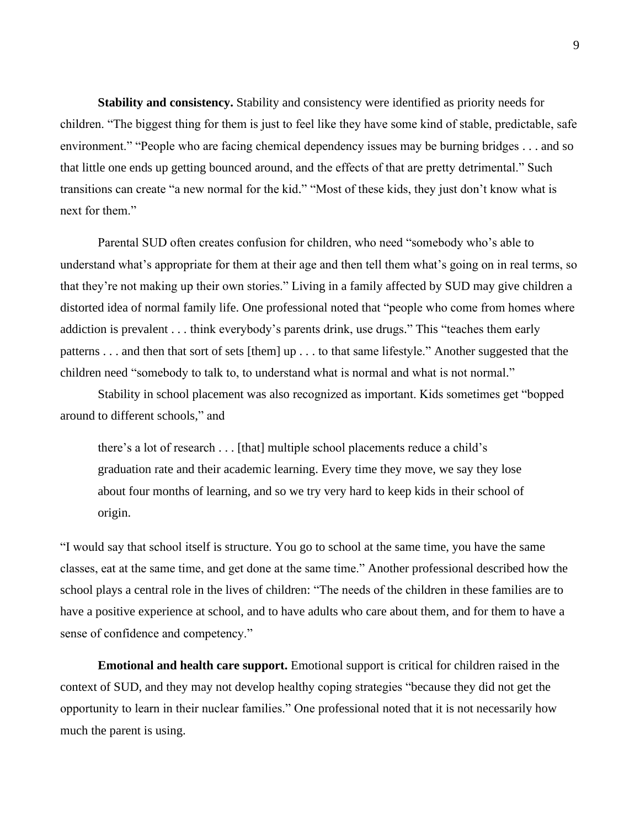**Stability and consistency.** Stability and consistency were identified as priority needs for children. "The biggest thing for them is just to feel like they have some kind of stable, predictable, safe environment." "People who are facing chemical dependency issues may be burning bridges . . . and so that little one ends up getting bounced around, and the effects of that are pretty detrimental." Such transitions can create "a new normal for the kid." "Most of these kids, they just don't know what is next for them."

Parental SUD often creates confusion for children, who need "somebody who's able to understand what's appropriate for them at their age and then tell them what's going on in real terms, so that they're not making up their own stories." Living in a family affected by SUD may give children a distorted idea of normal family life. One professional noted that "people who come from homes where addiction is prevalent . . . think everybody's parents drink, use drugs." This "teaches them early patterns . . . and then that sort of sets [them] up . . . to that same lifestyle." Another suggested that the children need "somebody to talk to, to understand what is normal and what is not normal."

Stability in school placement was also recognized as important. Kids sometimes get "bopped around to different schools," and

there's a lot of research . . . [that] multiple school placements reduce a child's graduation rate and their academic learning. Every time they move, we say they lose about four months of learning, and so we try very hard to keep kids in their school of origin.

"I would say that school itself is structure. You go to school at the same time, you have the same classes, eat at the same time, and get done at the same time." Another professional described how the school plays a central role in the lives of children: "The needs of the children in these families are to have a positive experience at school, and to have adults who care about them, and for them to have a sense of confidence and competency."

**Emotional and health care support.** Emotional support is critical for children raised in the context of SUD, and they may not develop healthy coping strategies "because they did not get the opportunity to learn in their nuclear families." One professional noted that it is not necessarily how much the parent is using.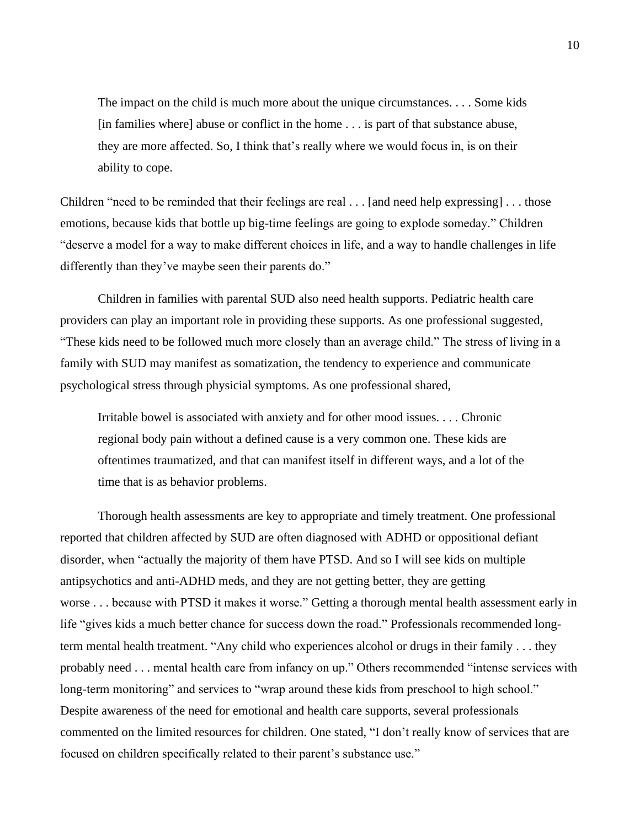The impact on the child is much more about the unique circumstances. . . . Some kids [in families where] abuse or conflict in the home . . . is part of that substance abuse, they are more affected. So, I think that's really where we would focus in, is on their ability to cope.

Children "need to be reminded that their feelings are real  $\dots$  [and need help expressing]  $\dots$  those emotions, because kids that bottle up big-time feelings are going to explode someday." Children "deserve a model for a way to make different choices in life, and a way to handle challenges in life differently than they've maybe seen their parents do."

Children in families with parental SUD also need health supports. Pediatric health care providers can play an important role in providing these supports. As one professional suggested, "These kids need to be followed much more closely than an average child." The stress of living in a family with SUD may manifest as somatization, the tendency to experience and communicate psychological stress through physicial symptoms. As one professional shared,

Irritable bowel is associated with anxiety and for other mood issues. . . . Chronic regional body pain without a defined cause is a very common one. These kids are oftentimes traumatized, and that can manifest itself in different ways, and a lot of the time that is as behavior problems.

Thorough health assessments are key to appropriate and timely treatment. One professional reported that children affected by SUD are often diagnosed with ADHD or oppositional defiant disorder, when "actually the majority of them have PTSD. And so I will see kids on multiple antipsychotics and anti-ADHD meds, and they are not getting better, they are getting worse . . . because with PTSD it makes it worse." Getting a thorough mental health assessment early in life "gives kids a much better chance for success down the road." Professionals recommended longterm mental health treatment. "Any child who experiences alcohol or drugs in their family . . . they probably need . . . mental health care from infancy on up." Others recommended "intense services with long-term monitoring" and services to "wrap around these kids from preschool to high school." Despite awareness of the need for emotional and health care supports, several professionals commented on the limited resources for children. One stated, "I don't really know of services that are focused on children specifically related to their parent's substance use."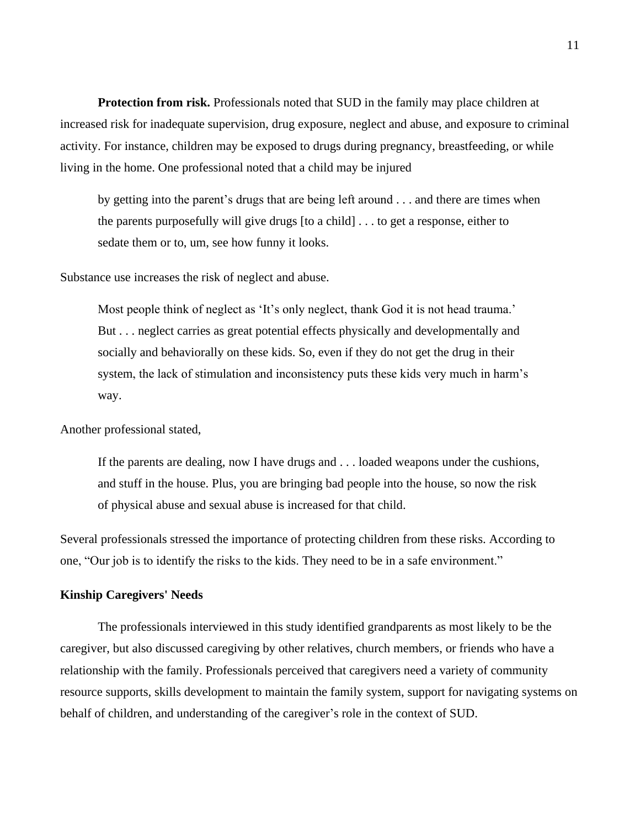**Protection from risk.** Professionals noted that SUD in the family may place children at increased risk for inadequate supervision, drug exposure, neglect and abuse, and exposure to criminal activity. For instance, children may be exposed to drugs during pregnancy, breastfeeding, or while living in the home. One professional noted that a child may be injured

by getting into the parent's drugs that are being left around . . . and there are times when the parents purposefully will give drugs [to a child] . . . to get a response, either to sedate them or to, um, see how funny it looks.

Substance use increases the risk of neglect and abuse.

Most people think of neglect as 'It's only neglect, thank God it is not head trauma.' But . . . neglect carries as great potential effects physically and developmentally and socially and behaviorally on these kids. So, even if they do not get the drug in their system, the lack of stimulation and inconsistency puts these kids very much in harm's way.

Another professional stated,

If the parents are dealing, now I have drugs and . . . loaded weapons under the cushions, and stuff in the house. Plus, you are bringing bad people into the house, so now the risk of physical abuse and sexual abuse is increased for that child.

Several professionals stressed the importance of protecting children from these risks. According to one, "Our job is to identify the risks to the kids. They need to be in a safe environment."

## **Kinship Caregivers' Needs**

The professionals interviewed in this study identified grandparents as most likely to be the caregiver, but also discussed caregiving by other relatives, church members, or friends who have a relationship with the family. Professionals perceived that caregivers need a variety of community resource supports, skills development to maintain the family system, support for navigating systems on behalf of children, and understanding of the caregiver's role in the context of SUD.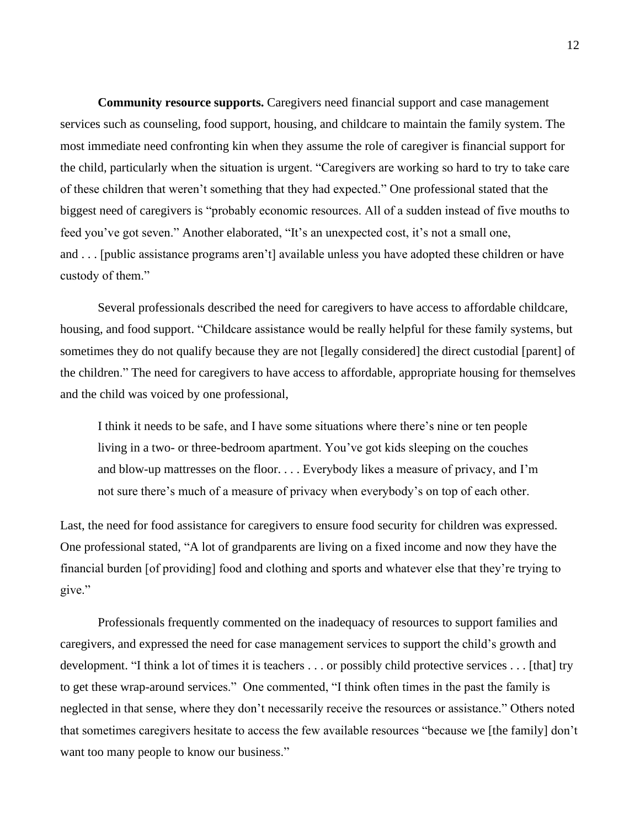**Community resource supports.** Caregivers need financial support and case management services such as counseling, food support, housing, and childcare to maintain the family system. The most immediate need confronting kin when they assume the role of caregiver is financial support for the child, particularly when the situation is urgent. "Caregivers are working so hard to try to take care of these children that weren't something that they had expected." One professional stated that the biggest need of caregivers is "probably economic resources. All of a sudden instead of five mouths to feed you've got seven." Another elaborated, "It's an unexpected cost, it's not a small one, and . . . [public assistance programs aren't] available unless you have adopted these children or have custody of them."

Several professionals described the need for caregivers to have access to affordable childcare, housing, and food support. "Childcare assistance would be really helpful for these family systems, but sometimes they do not qualify because they are not [legally considered] the direct custodial [parent] of the children." The need for caregivers to have access to affordable, appropriate housing for themselves and the child was voiced by one professional,

I think it needs to be safe, and I have some situations where there's nine or ten people living in a two- or three-bedroom apartment. You've got kids sleeping on the couches and blow-up mattresses on the floor. . . . Everybody likes a measure of privacy, and I'm not sure there's much of a measure of privacy when everybody's on top of each other.

Last, the need for food assistance for caregivers to ensure food security for children was expressed. One professional stated, "A lot of grandparents are living on a fixed income and now they have the financial burden [of providing] food and clothing and sports and whatever else that they're trying to give."

Professionals frequently commented on the inadequacy of resources to support families and caregivers, and expressed the need for case management services to support the child's growth and development. "I think a lot of times it is teachers . . . or possibly child protective services . . . [that] try to get these wrap-around services." One commented, "I think often times in the past the family is neglected in that sense, where they don't necessarily receive the resources or assistance." Others noted that sometimes caregivers hesitate to access the few available resources "because we [the family] don't want too many people to know our business."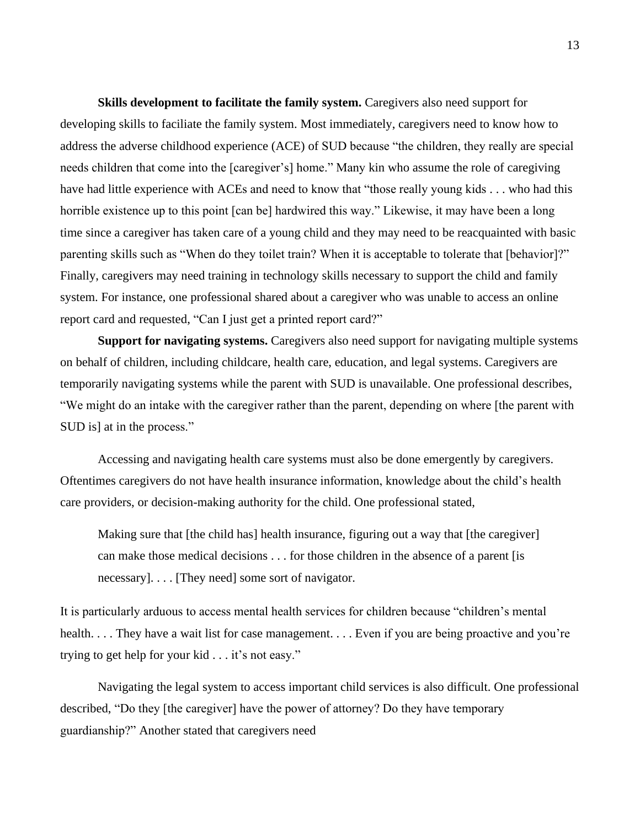**Skills development to facilitate the family system.** Caregivers also need support for developing skills to faciliate the family system. Most immediately, caregivers need to know how to address the adverse childhood experience (ACE) of SUD because "the children, they really are special needs children that come into the [caregiver's] home." Many kin who assume the role of caregiving have had little experience with ACEs and need to know that "those really young kids . . . who had this horrible existence up to this point [can be] hardwired this way." Likewise, it may have been a long time since a caregiver has taken care of a young child and they may need to be reacquainted with basic parenting skills such as "When do they toilet train? When it is acceptable to tolerate that [behavior]?" Finally, caregivers may need training in technology skills necessary to support the child and family system. For instance, one professional shared about a caregiver who was unable to access an online report card and requested, "Can I just get a printed report card?"

**Support for navigating systems.** Caregivers also need support for navigating multiple systems on behalf of children, including childcare, health care, education, and legal systems. Caregivers are temporarily navigating systems while the parent with SUD is unavailable. One professional describes, "We might do an intake with the caregiver rather than the parent, depending on where [the parent with SUD is] at in the process."

Accessing and navigating health care systems must also be done emergently by caregivers. Oftentimes caregivers do not have health insurance information, knowledge about the child's health care providers, or decision-making authority for the child. One professional stated,

Making sure that [the child has] health insurance, figuring out a way that [the caregiver] can make those medical decisions . . . for those children in the absence of a parent [is necessary]. . . . [They need] some sort of navigator.

It is particularly arduous to access mental health services for children because "children's mental health. . . . They have a wait list for case management. . . . Even if you are being proactive and you're trying to get help for your kid . . . it's not easy."

Navigating the legal system to access important child services is also difficult. One professional described, "Do they [the caregiver] have the power of attorney? Do they have temporary guardianship?" Another stated that caregivers need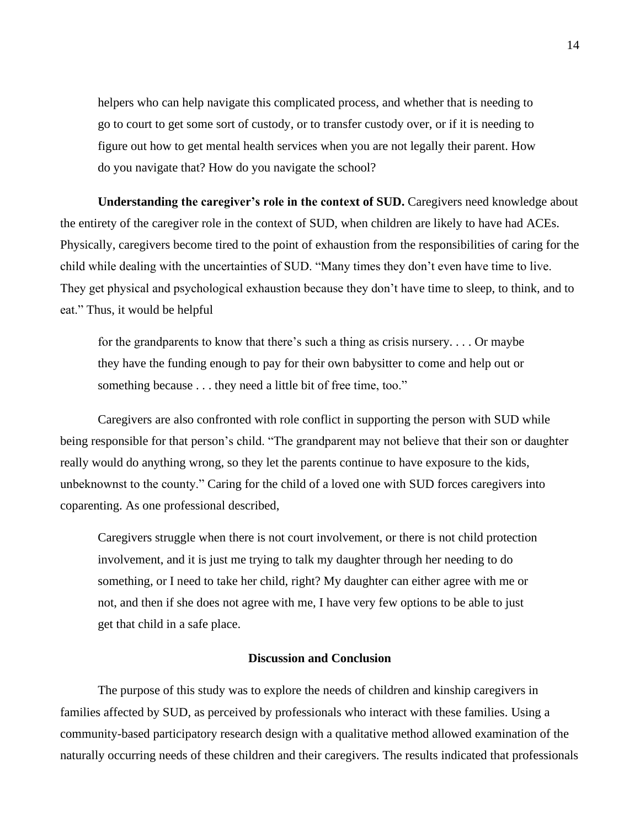helpers who can help navigate this complicated process, and whether that is needing to go to court to get some sort of custody, or to transfer custody over, or if it is needing to figure out how to get mental health services when you are not legally their parent. How do you navigate that? How do you navigate the school?

**Understanding the caregiver's role in the context of SUD.** Caregivers need knowledge about the entirety of the caregiver role in the context of SUD, when children are likely to have had ACEs. Physically, caregivers become tired to the point of exhaustion from the responsibilities of caring for the child while dealing with the uncertainties of SUD. "Many times they don't even have time to live. They get physical and psychological exhaustion because they don't have time to sleep, to think, and to eat." Thus, it would be helpful

for the grandparents to know that there's such a thing as crisis nursery. . . . Or maybe they have the funding enough to pay for their own babysitter to come and help out or something because . . . they need a little bit of free time, too."

Caregivers are also confronted with role conflict in supporting the person with SUD while being responsible for that person's child. "The grandparent may not believe that their son or daughter really would do anything wrong, so they let the parents continue to have exposure to the kids, unbeknownst to the county." Caring for the child of a loved one with SUD forces caregivers into coparenting. As one professional described,

Caregivers struggle when there is not court involvement, or there is not child protection involvement, and it is just me trying to talk my daughter through her needing to do something, or I need to take her child, right? My daughter can either agree with me or not, and then if she does not agree with me, I have very few options to be able to just get that child in a safe place.

#### **Discussion and Conclusion**

The purpose of this study was to explore the needs of children and kinship caregivers in families affected by SUD, as perceived by professionals who interact with these families. Using a community-based participatory research design with a qualitative method allowed examination of the naturally occurring needs of these children and their caregivers. The results indicated that professionals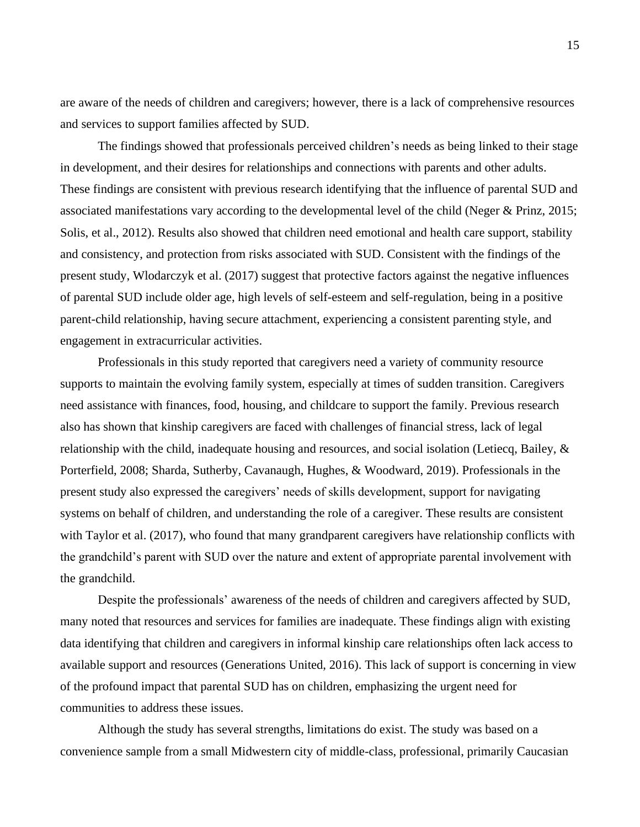are aware of the needs of children and caregivers; however, there is a lack of comprehensive resources and services to support families affected by SUD.

The findings showed that professionals perceived children's needs as being linked to their stage in development, and their desires for relationships and connections with parents and other adults. These findings are consistent with previous research identifying that the influence of parental SUD and associated manifestations vary according to the developmental level of the child (Neger & Prinz, 2015; Solis, et al., 2012). Results also showed that children need emotional and health care support, stability and consistency, and protection from risks associated with SUD. Consistent with the findings of the present study, Wlodarczyk et al. (2017) suggest that protective factors against the negative influences of parental SUD include older age, high levels of self-esteem and self-regulation, being in a positive parent-child relationship, having secure attachment, experiencing a consistent parenting style, and engagement in extracurricular activities.

Professionals in this study reported that caregivers need a variety of community resource supports to maintain the evolving family system, especially at times of sudden transition. Caregivers need assistance with finances, food, housing, and childcare to support the family. Previous research also has shown that kinship caregivers are faced with challenges of financial stress, lack of legal relationship with the child, inadequate housing and resources, and social isolation (Letiecq, Bailey, & Porterfield, 2008; Sharda, Sutherby, Cavanaugh, Hughes, & Woodward, 2019). Professionals in the present study also expressed the caregivers' needs of skills development, support for navigating systems on behalf of children, and understanding the role of a caregiver. These results are consistent with Taylor et al. (2017), who found that many grandparent caregivers have relationship conflicts with the grandchild's parent with SUD over the nature and extent of appropriate parental involvement with the grandchild.

Despite the professionals' awareness of the needs of children and caregivers affected by SUD, many noted that resources and services for families are inadequate. These findings align with existing data identifying that children and caregivers in informal kinship care relationships often lack access to available support and resources (Generations United, 2016). This lack of support is concerning in view of the profound impact that parental SUD has on children, emphasizing the urgent need for communities to address these issues.

Although the study has several strengths, limitations do exist. The study was based on a convenience sample from a small Midwestern city of middle-class, professional, primarily Caucasian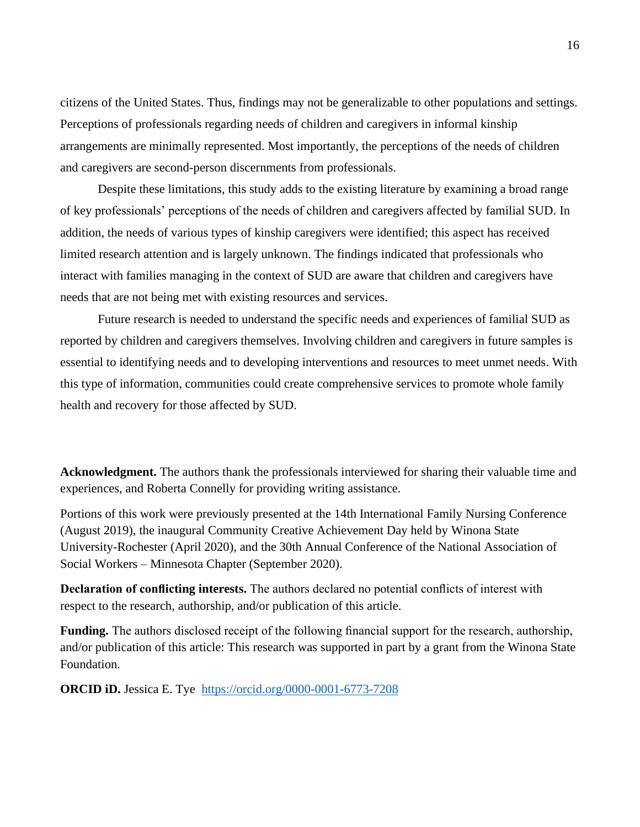citizens of the United States. Thus, findings may not be generalizable to other populations and settings. Perceptions of professionals regarding needs of children and caregivers in informal kinship arrangements are minimally represented. Most importantly, the perceptions of the needs of children and caregivers are second-person discernments from professionals.

Despite these limitations, this study adds to the existing literature by examining a broad range of key professionals' perceptions of the needs of children and caregivers affected by familial SUD. In addition, the needs of various types of kinship caregivers were identified; this aspect has received limited research attention and is largely unknown. The findings indicated that professionals who interact with families managing in the context of SUD are aware that children and caregivers have needs that are not being met with existing resources and services.

Future research is needed to understand the specific needs and experiences of familial SUD as reported by children and caregivers themselves. Involving children and caregivers in future samples is essential to identifying needs and to developing interventions and resources to meet unmet needs. With this type of information, communities could create comprehensive services to promote whole family health and recovery for those affected by SUD.

**Acknowledgment.** The authors thank the professionals interviewed for sharing their valuable time and experiences, and Roberta Connelly for providing writing assistance.

Portions of this work were previously presented at the 14th International Family Nursing Conference (August 2019), the inaugural Community Creative Achievement Day held by Winona State University-Rochester (April 2020), and the 30th Annual Conference of the National Association of Social Workers – Minnesota Chapter (September 2020).

**Declaration of conflicting interests.** The authors declared no potential conflicts of interest with respect to the research, authorship, and/or publication of this article.

**Funding.** The authors disclosed receipt of the following financial support for the research, authorship, and/or publication of this article: This research was supported in part by a grant from the Winona State Foundation.

**ORCID iD.** Jessica E. Tye <https://orcid.org/0000-0001-6773-7208>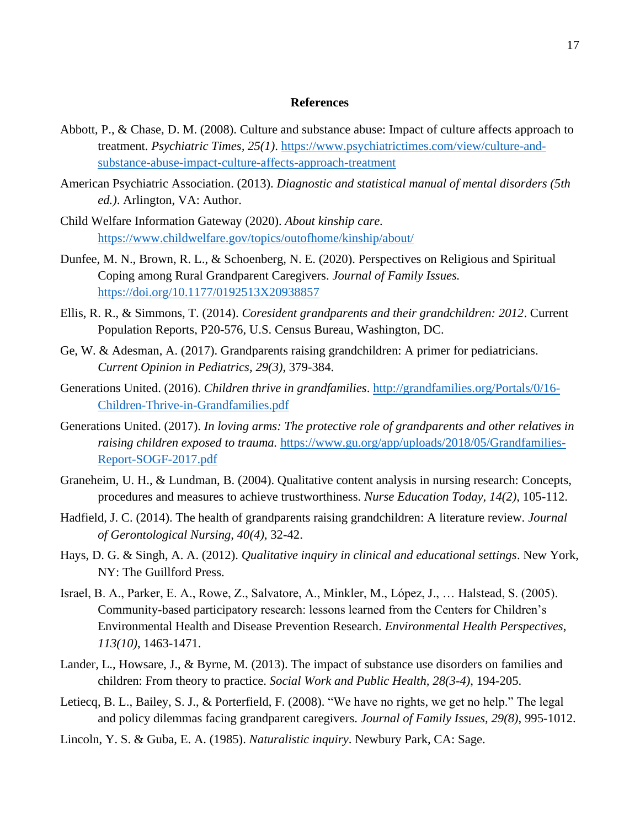### **References**

- Abbott, P., & Chase, D. M. (2008). Culture and substance abuse: Impact of culture affects approach to treatment. *Psychiatric Times, 25(1)*. [https://www.psychiatrictimes.com/view/culture-and](https://www.psychiatrictimes.com/view/culture-and-substance-abuse-impact-culture-affects-approach-treatment)[substance-abuse-impact-culture-affects-approach-treatment](https://www.psychiatrictimes.com/view/culture-and-substance-abuse-impact-culture-affects-approach-treatment)
- American Psychiatric Association. (2013). *Diagnostic and statistical manual of mental disorders (5th ed.)*. Arlington, VA: Author.
- Child Welfare Information Gateway (2020). *About kinship care.* <https://www.childwelfare.gov/topics/outofhome/kinship/about/>
- Dunfee, M. N., Brown, R. L., & Schoenberg, N. E. (2020). Perspectives on Religious and Spiritual Coping among Rural Grandparent Caregivers. *Journal of Family Issues.*  <https://doi.org/10.1177/0192513X20938857>
- Ellis, R. R., & Simmons, T. (2014). *Coresident grandparents and their grandchildren: 2012*. Current Population Reports, P20-576, U.S. Census Bureau, Washington, DC.
- Ge, W. & Adesman, A. (2017). Grandparents raising grandchildren: A primer for pediatricians. *Current Opinion in Pediatrics, 29(3)*, 379-384.
- Generations United. (2016). *Children thrive in grandfamilies*. [http://grandfamilies.org/Portals/0/16-](http://grandfamilies.org/Portals/0/16-Children-Thrive-in-Grandfamilies.pdf) [Children-Thrive-in-Grandfamilies.pdf](http://grandfamilies.org/Portals/0/16-Children-Thrive-in-Grandfamilies.pdf)
- Generations United. (2017). *In loving arms: The protective role of grandparents and other relatives in raising children exposed to trauma.* [https://www.gu.org/app/uploads/2018/05/Grandfamilies-](https://www.gu.org/app/uploads/2018/05/Grandfamilies-Report-SOGF-2017.pdf)[Report-SOGF-2017.pdf](https://www.gu.org/app/uploads/2018/05/Grandfamilies-Report-SOGF-2017.pdf)
- Graneheim, U. H., & Lundman, B. (2004). Qualitative content analysis in nursing research: Concepts, procedures and measures to achieve trustworthiness. *Nurse Education Today, 14(2)*, 105-112.
- Hadfield, J. C. (2014). The health of grandparents raising grandchildren: A literature review. *Journal of Gerontological Nursing, 40(4)*, 32-42.
- Hays, D. G. & Singh, A. A. (2012). *Qualitative inquiry in clinical and educational settings*. New York, NY: The Guillford Press.
- Israel, B. A., Parker, E. A., Rowe, Z., Salvatore, A., Minkler, M., López, J., … Halstead, S. (2005). Community-based participatory research: lessons learned from the Centers for Children's Environmental Health and Disease Prevention Research. *Environmental Health Perspectives*, *113(10)*, 1463-1471.
- Lander, L., Howsare, J., & Byrne, M. (2013). The impact of substance use disorders on families and children: From theory to practice. *Social Work and Public Health, 28(3-4)*, 194-205.
- Letiecq, B. L., Bailey, S. J., & Porterfield, F. (2008). "We have no rights, we get no help." The legal and policy dilemmas facing grandparent caregivers. *Journal of Family Issues, 29(8)*, 995-1012.
- Lincoln, Y. S. & Guba, E. A. (1985). *Naturalistic inquiry*. Newbury Park, CA: Sage.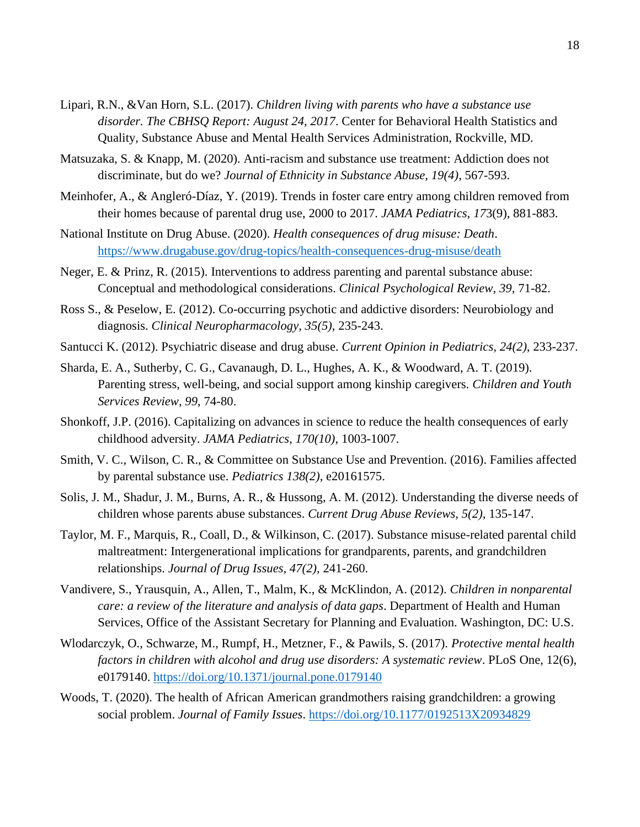- Lipari, R.N., &Van Horn, S.L. (2017). *Children living with parents who have a substance use disorder. The CBHSQ Report: August 24, 2017*. Center for Behavioral Health Statistics and Quality, Substance Abuse and Mental Health Services Administration, Rockville, MD.
- Matsuzaka, S. & Knapp, M. (2020). Anti-racism and substance use treatment: Addiction does not discriminate, but do we? *Journal of Ethnicity in Substance Abuse, 19(4)*, 567-593.
- Meinhofer, A., & Angleró-Díaz, Y. (2019). Trends in foster care entry among children removed from their homes because of parental drug use, 2000 to 2017. *JAMA Pediatrics, 17*3(9), 881-883.
- National Institute on Drug Abuse. (2020). *Health consequences of drug misuse: Death*. <https://www.drugabuse.gov/drug-topics/health-consequences-drug-misuse/death>
- Neger, E. & Prinz, R. (2015). Interventions to address parenting and parental substance abuse: Conceptual and methodological considerations. *Clinical Psychological Review, 39*, 71-82.
- Ross S., & Peselow, E. (2012). Co-occurring psychotic and addictive disorders: Neurobiology and diagnosis. *Clinical Neuropharmacology, 35(5)*, 235-243.
- Santucci K. (2012). Psychiatric disease and drug abuse. *Current Opinion in Pediatrics, 24(2)*, 233-237.
- Sharda, E. A., Sutherby, C. G., Cavanaugh, D. L., Hughes, A. K., & Woodward, A. T. (2019). Parenting stress, well-being, and social support among kinship caregivers. *Children and Youth Services Review, 99*, 74-80.
- Shonkoff, J.P. (2016). Capitalizing on advances in science to reduce the health consequences of early childhood adversity. *JAMA Pediatrics, 170(10)*, 1003-1007.
- Smith, V. C., Wilson, C. R., & Committee on Substance Use and Prevention. (2016). Families affected by parental substance use. *Pediatrics 138(2)*, e20161575.
- Solis, J. M., Shadur, J. M., Burns, A. R., & Hussong, A. M. (2012). Understanding the diverse needs of children whose parents abuse substances. *Current Drug Abuse Reviews, 5(2)*, 135-147.
- Taylor, M. F., Marquis, R., Coall, D., & Wilkinson, C. (2017). Substance misuse-related parental child maltreatment: Intergenerational implications for grandparents, parents, and grandchildren relationships. *Journal of Drug Issues, 47(2)*, 241-260.
- Vandivere, S., Yrausquin, A., Allen, T., Malm, K., & McKlindon, A. (2012). *Children in nonparental care: a review of the literature and analysis of data gaps*. Department of Health and Human Services, Office of the Assistant Secretary for Planning and Evaluation. Washington, DC: U.S.
- Wlodarczyk, O., Schwarze, M., Rumpf, H., Metzner, F., & Pawils, S. (2017). *Protective mental health factors in children with alcohol and drug use disorders: A systematic review*. PLoS One, 12(6), e0179140.<https://doi.org/10.1371/journal.pone.0179140>
- Woods, T. (2020). The health of African American grandmothers raising grandchildren: a growing social problem. *Journal of Family Issues*. <https://doi.org/10.1177/0192513X20934829>